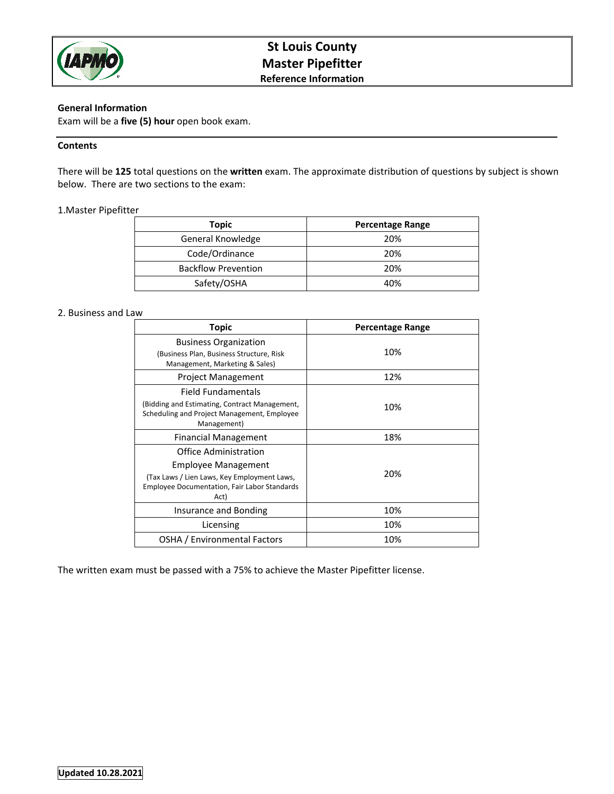

# **St Louis County Master Pipefitter Reference Information**

# **General Information**

Exam will be a **five (5) hour** open book exam.

## **Contents**

There will be **125** total questions on the **written** exam. The approximate distribution of questions by subject is shown below. There are two sections to the exam:

## 1.Master Pipefitter

| Topic                      | <b>Percentage Range</b> |
|----------------------------|-------------------------|
| General Knowledge          | 20%                     |
| Code/Ordinance             | 20%                     |
| <b>Backflow Prevention</b> | 20%                     |
| Safety/OSHA                | 40%                     |

## 2. Business and Law

| Topic                                                                                                                                                      | <b>Percentage Range</b> |
|------------------------------------------------------------------------------------------------------------------------------------------------------------|-------------------------|
| <b>Business Organization</b><br>(Business Plan, Business Structure, Risk<br>Management, Marketing & Sales)                                                 | 10%                     |
| <b>Project Management</b>                                                                                                                                  | 12%                     |
| Field Fundamentals<br>(Bidding and Estimating, Contract Management,<br>Scheduling and Project Management, Employee<br>Management)                          | 10%                     |
| <b>Financial Management</b>                                                                                                                                | 18%                     |
| Office Administration<br>Employee Management<br>(Tax Laws / Lien Laws, Key Employment Laws,<br><b>Employee Documentation, Fair Labor Standards</b><br>Act) | 20%                     |
| Insurance and Bonding                                                                                                                                      | 10%                     |
| Licensing                                                                                                                                                  | 10%                     |
| OSHA / Environmental Factors                                                                                                                               | 10%                     |

The written exam must be passed with a 75% to achieve the Master Pipefitter license.